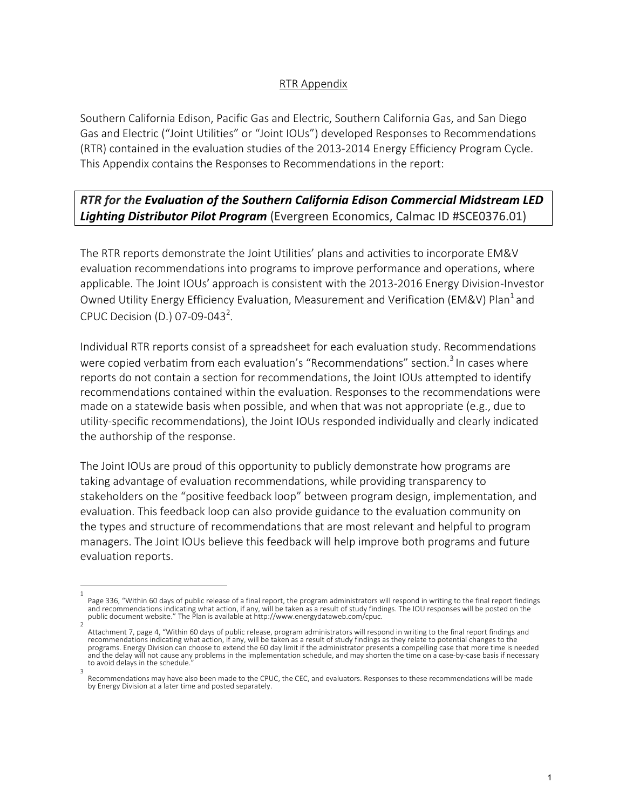## RTR Appendix

Southern California Edison, Pacific Gas and Electric, Southern California Gas, and San Diego Gas and Electric ("Joint Utilities" or "Joint IOUs") developed Responses to Recommendations (RTR) contained in the evaluation studies of the 2013-2014 Energy Efficiency Program Cycle. This Appendix contains the Responses to Recommendations in the report:

# **RTR** for the Evaluation of the Southern California Edison Commercial Midstream LED Lighting Distributor Pilot Program (Evergreen Economics, Calmac ID #SCE0376.01)

The RTR reports demonstrate the Joint Utilities' plans and activities to incorporate EM&V evaluation recommendations into programs to improve performance and operations, where applicable. The Joint IOUs' approach is consistent with the 2013-2016 Energy Division-Investor Owned Utility Energy Efficiency Evaluation, Measurement and Verification (EM&V) Plan<sup>1</sup> and CPUC Decision (D.) 07-09-043<sup>2</sup>.

Individual RTR reports consist of a spreadsheet for each evaluation study. Recommendations were copied verbatim from each evaluation's "Recommendations" section.<sup>3</sup> In cases where reports do not contain a section for recommendations, the Joint IOUs attempted to identify recommendations contained within the evaluation. Responses to the recommendations were made on a statewide basis when possible, and when that was not appropriate (e.g., due to utility-specific recommendations), the Joint IOUs responded individually and clearly indicated the authorship of the response.

The Joint IOUs are proud of this opportunity to publicly demonstrate how programs are taking advantage of evaluation recommendations, while providing transparency to stakeholders on the "positive feedback loop" between program design, implementation, and evaluation. This feedback loop can also provide guidance to the evaluation community on the types and structure of recommendations that are most relevant and helpful to program managers. The Joint IOUs believe this feedback will help improve both programs and future evaluation reports.

<sup>1</sup> Page 336, "Within 60 days of public release of a final report, the program administrators will respond in writing to the final report findings and recommendations indicating what action, if any, will be taken as a result of study findings. The IOU responses will be posted on the public document website." The Plan is available at http://www.energydataweb.com/cpuc.

<sup>2</sup> Attachment 7, page 4, "Within 60 days of public release, program administrators will respond in writing to the final report findings and<br>recommendations indicating what action, if any, will be taken as a result of study fi programs. Energy Division can choose to extend the 60 day limit if the administrator presents a compelling case that more time is needed and the delay will not cause any problems in the implementation schedule, and may shorten the time on a case-by-case basis if necessary to avoid delays in the schedule. 3

Recommendations may have also been made to the CPUC, the CEC, and evaluators. Responses to these recommendations will be made by Energy Division at a later time and posted separately.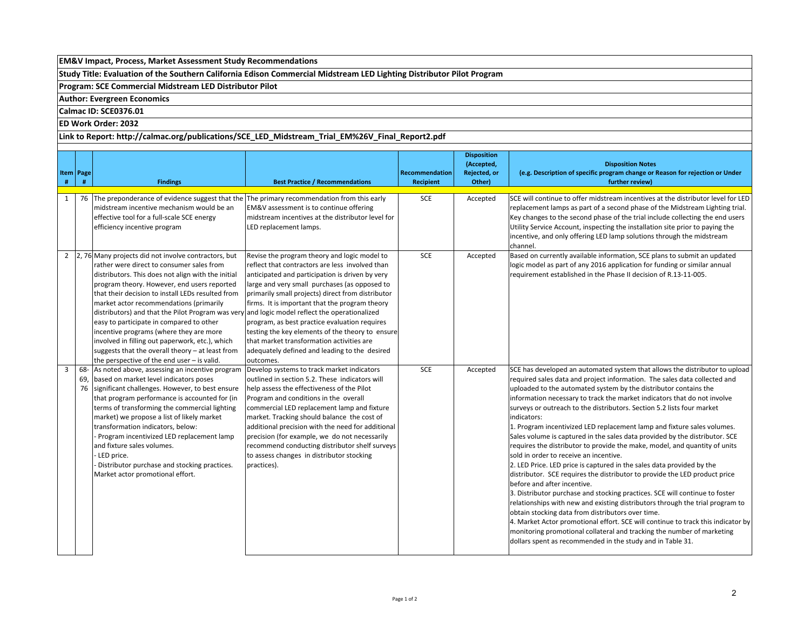### **EM&V** Impact, Process, Market Assessment Study Recommendations

Study Title: Evaluation of the Southern California Edison Commercial Midstream LED Lighting Distributor Pilot Program

**Program: SCE Commercial Midstream LED Distributor Pilot** 

#### **Author: Evergreen Economics**

#### **Calmac ID: SCE0376.01**

#### **ED Work Order: 2032**

#### Link to Report: http://calmac.org/publications/SCE\_LED\_Midstream\_Trial\_EM%26V\_Final\_Report2.pdf

| # | Item   Page<br># | <b>Findings</b>                                                                                                                                                                                                                                                                                                                                                                                                                                                                                                                                                                                                           | <b>Best Practice / Recommendations</b>                                                                                                                                                                                                                                                                                                                                                                                                                                                                                                                                    | Recommendation<br><b>Recipient</b> | <b>Disposition</b><br>(Accepted,<br>Rejected, or<br>Other) | <b>Disposition Notes</b><br>(e.g. Description of specific program change or Reason for rejection or Under<br>further review)                                                                                                                                                                                                                                                                                                                                                                                                                                                                                                                                                                                                                                                                                                                                                                                                                                                                                                                                                                                                                                                                                                                                                                                               |
|---|------------------|---------------------------------------------------------------------------------------------------------------------------------------------------------------------------------------------------------------------------------------------------------------------------------------------------------------------------------------------------------------------------------------------------------------------------------------------------------------------------------------------------------------------------------------------------------------------------------------------------------------------------|---------------------------------------------------------------------------------------------------------------------------------------------------------------------------------------------------------------------------------------------------------------------------------------------------------------------------------------------------------------------------------------------------------------------------------------------------------------------------------------------------------------------------------------------------------------------------|------------------------------------|------------------------------------------------------------|----------------------------------------------------------------------------------------------------------------------------------------------------------------------------------------------------------------------------------------------------------------------------------------------------------------------------------------------------------------------------------------------------------------------------------------------------------------------------------------------------------------------------------------------------------------------------------------------------------------------------------------------------------------------------------------------------------------------------------------------------------------------------------------------------------------------------------------------------------------------------------------------------------------------------------------------------------------------------------------------------------------------------------------------------------------------------------------------------------------------------------------------------------------------------------------------------------------------------------------------------------------------------------------------------------------------------|
| 1 |                  | 76 The preponderance of evidence suggest that the The primary recommendation from this early<br>midstream incentive mechanism would be an<br>effective tool for a full-scale SCE energy<br>efficiency incentive program                                                                                                                                                                                                                                                                                                                                                                                                   | EM&V assessment is to continue offering<br>midstream incentives at the distributor level for<br>LED replacement lamps.                                                                                                                                                                                                                                                                                                                                                                                                                                                    | <b>SCE</b>                         | Accepted                                                   | SCE will continue to offer midstream incentives at the distributor level for LED<br>replacement lamps as part of a second phase of the Midstream Lighting trial.<br>Key changes to the second phase of the trial include collecting the end users<br>Utility Service Account, inspecting the installation site prior to paying the<br>incentive, and only offering LED lamp solutions through the midstream<br>channel.                                                                                                                                                                                                                                                                                                                                                                                                                                                                                                                                                                                                                                                                                                                                                                                                                                                                                                    |
|   |                  | 2 $\left 2, 76\right $ Many projects did not involve contractors, but<br>rather were direct to consumer sales from<br>distributors. This does not align with the initial<br>program theory. However, end users reported<br>that their decision to install LEDs resulted from<br>market actor recommendations (primarily<br>distributors) and that the Pilot Program was very<br>easy to participate in compared to other<br>incentive programs (where they are more<br>involved in filling out paperwork, etc.), which<br>suggests that the overall theory - at least from<br>the perspective of the end user - is valid. | Revise the program theory and logic model to<br>reflect that contractors are less involved than<br>anticipated and participation is driven by very<br>large and very small purchases (as opposed to<br>primarily small projects) direct from distributor<br>firms. It is important that the program theory<br>and logic model reflect the operationalized<br>program, as best practice evaluation requires<br>testing the key elements of the theory to ensure<br>that market transformation activities are<br>adequately defined and leading to the desired<br>outcomes. | <b>SCE</b>                         | Accepted                                                   | Based on currently available information, SCE plans to submit an updated<br>logic model as part of any 2016 application for funding or similar annual<br>requirement established in the Phase II decision of R.13-11-005.                                                                                                                                                                                                                                                                                                                                                                                                                                                                                                                                                                                                                                                                                                                                                                                                                                                                                                                                                                                                                                                                                                  |
| 3 | 69,<br>76        | 68- As noted above, assessing an incentive program<br>based on market level indicators poses<br>significant challenges. However, to best ensure<br>that program performance is accounted for (in<br>terms of transforming the commercial lighting<br>market) we propose a list of likely market<br>transformation indicators, below:<br>Program incentivized LED replacement lamp<br>and fixture sales volumes.<br>LED price.<br>Distributor purchase and stocking practices.<br>Market actor promotional effort.                                                                                                         | Develop systems to track market indicators<br>outlined in section 5.2. These indicators will<br>help assess the effectiveness of the Pilot<br>Program and conditions in the overall<br>commercial LED replacement lamp and fixture<br>market. Tracking should balance the cost of<br>additional precision with the need for additional<br>precision (for example, we do not necessarily<br>recommend conducting distributor shelf surveys<br>to assess changes in distributor stocking<br>practices).                                                                     | <b>SCE</b>                         | Accepted                                                   | SCE has developed an automated system that allows the distributor to upload<br>required sales data and project information. The sales data collected and<br>uploaded to the automated system by the distributor contains the<br>information necessary to track the market indicators that do not involve<br>surveys or outreach to the distributors. Section 5.2 lists four market<br>indicators:<br>1. Program incentivized LED replacement lamp and fixture sales volumes.<br>Sales volume is captured in the sales data provided by the distributor. SCE<br>requires the distributor to provide the make, model, and quantity of units<br>sold in order to receive an incentive.<br>2. LED Price. LED price is captured in the sales data provided by the<br>distributor. SCE requires the distributor to provide the LED product price<br>before and after incentive.<br>3. Distributor purchase and stocking practices. SCE will continue to foster<br>relationships with new and existing distributors through the trial program to<br>obtain stocking data from distributors over time.<br>4. Market Actor promotional effort. SCE will continue to track this indicator by<br>monitoring promotional collateral and tracking the number of marketing<br>dollars spent as recommended in the study and in Table 31. |